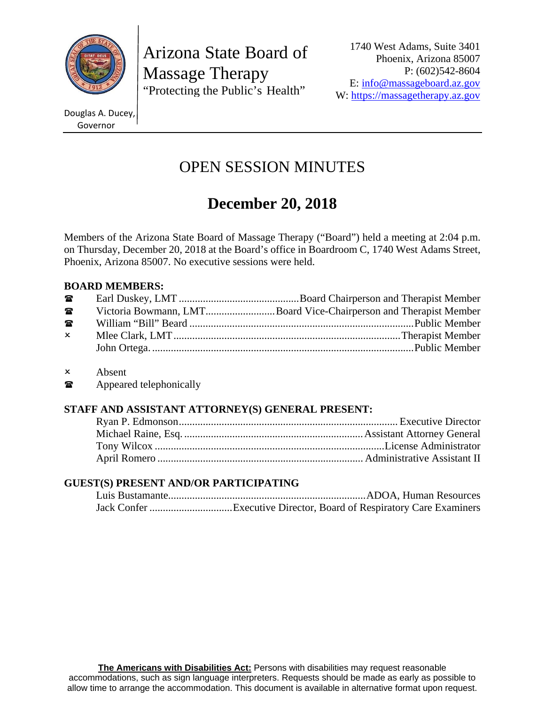

Arizona State Board of Massage Therapy "Protecting the Public's Health"

1740 West Adams, Suite 3401 Phoenix, Arizona 85007 P: (602)542-8604 E: info@massageboard.az.gov W: https://massagetherapy.az.gov

Douglas A. Ducey, Governor

## OPEN SESSION MINUTES

# **December 20, 2018**

Members of the Arizona State Board of Massage Therapy ("Board") held a meeting at 2:04 p.m. on Thursday, December 20, 2018 at the Board's office in Boardroom C, 1740 West Adams Street, Phoenix, Arizona 85007. No executive sessions were held.

## **BOARD MEMBERS:**

| $\mathbf{r}$   |                                                                  |
|----------------|------------------------------------------------------------------|
| $\mathbf{a}$   | Victoria Bowmann, LMTBoard Vice-Chairperson and Therapist Member |
| $\blacksquare$ |                                                                  |
| $\mathsf{x}$   |                                                                  |
|                |                                                                  |

- Absent
- **The Appeared telephonically**

## **STAFF AND ASSISTANT ATTORNEY(S) GENERAL PRESENT:**

## **GUEST(S) PRESENT AND/OR PARTICIPATING**